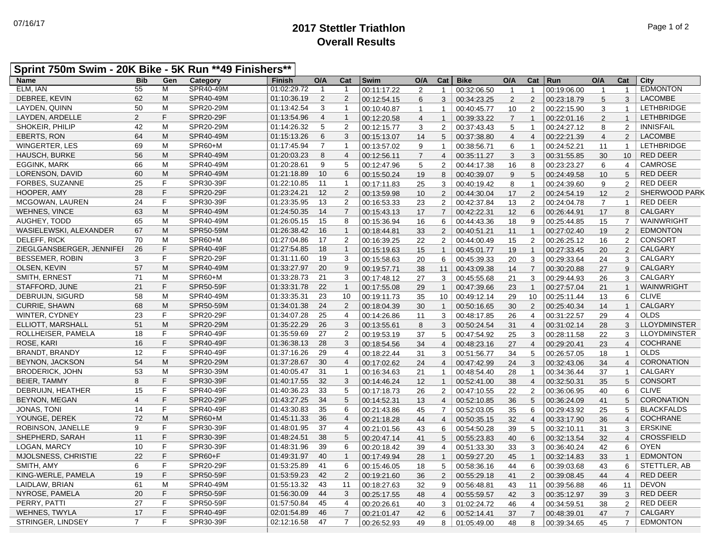## **2017 Stettler Triathlon** 07/16/17 Page 1 of 2 **Overall Results**

| <b>Name</b>               | <b>Bib</b>     | Gen | Category         | <b>Finish</b> | O/A            | Cat            | Swim        | O/A            | Cat            | <b>Bike</b> | O/A            | Cat             | Run         | O/A            | Cat             | City                 |
|---------------------------|----------------|-----|------------------|---------------|----------------|----------------|-------------|----------------|----------------|-------------|----------------|-----------------|-------------|----------------|-----------------|----------------------|
| ELM. IAN                  | 55             | M   | <b>SPR40-49M</b> | 01:02:29.72   | $\overline{1}$ | $\mathbf{1}$   | 00:11:17.22 | 2              | $\mathbf{1}$   | 00:32:06.50 | $\overline{1}$ | $\mathbf{1}$    | 00:19:06.00 | $\mathbf{1}$   | $\mathbf{1}$    | <b>EDMONTON</b>      |
| DEBREE, KEVIN             | 62             | M   | SPR40-49M        | 01:10:36.19   | 2              | $\overline{2}$ | 00:12:54.15 | 6              | 3              | 00:34:23.25 | 2              | 2               | 00:23:18.79 | 5              | 3               | <b>LACOMBE</b>       |
| LAYDEN, QUINN             | 50             | M   | SPR20-29M        | 01:13:42.54   | 3              | $\mathbf{1}$   | 00:10:40.87 | $\mathbf{1}$   | $\mathbf{1}$   | 00:40:45.77 | 10             | 2               | 00:22:15.90 | 3              | $\mathbf{1}$    | <b>LETHBRIDGE</b>    |
| LAYDEN, ARDELLE           | $\overline{2}$ | F   | SPR20-29F        | 01:13:54.96   | $\overline{4}$ | $\mathbf{1}$   | 00:12:20.58 | $\overline{4}$ | $\mathbf{1}$   | 00:39:33.22 | $\overline{7}$ | $\overline{1}$  | 00:22:01.16 | 2              | $\mathbf{1}$    | <b>LETHBRIDGE</b>    |
| SHOKEIR, PHILIP           | 42             | M   | SPR20-29M        | 01:14:26.32   | 5              | 2              | 00:12:15.77 | 3              | $\overline{2}$ | 00:37:43.43 | 5              | $\mathbf{1}$    | 00:24:27.12 | 8              | 2               | <b>INNISFAIL</b>     |
| EBERTS, RON               | 64             | M   | SPR40-49M        | 01:15:13.26   | 6              | 3              | 00:15:13.07 | 14             | 5              | 00:37:38.80 | $\overline{4}$ | $\overline{4}$  | 00:22:21.39 | $\overline{4}$ | 2               | <b>LACOMBE</b>       |
| <b>WINGERTER, LES</b>     | 69             | M   | SPR60+M          | 01:17:45.94   | $\overline{7}$ | $\mathbf{1}$   | 00:13:57.02 | 9              | $\mathbf{1}$   | 00:38:56.71 | 6              | $\mathbf{1}$    | 00:24:52.21 | 11             | $\mathbf{1}$    | <b>LETHBRIDGE</b>    |
| <b>HAUSCH, BURKE</b>      | 56             | M   | SPR40-49M        | 01:20:03.23   | 8              | $\overline{4}$ | 00:12:56.11 | $\overline{7}$ | $\overline{4}$ | 00:35:11.27 | 3              | 3               | 00:31:55.85 | 30             | 10              | <b>RED DEER</b>      |
| <b>EGGINK, MARK</b>       | 66             | M   | SPR40-49M        | 01:20:28.61   | 9              | 5              | 00:12:47.96 | $\sqrt{5}$     | $\overline{c}$ | 00:44:17.38 | 16             | 8               | 00:23:23.27 | 6              | $\overline{4}$  | <b>CAMROSE</b>       |
| LORENSON, DAVID           | 60             | M   | SPR40-49M        | 01:21:18.89   | 10             | 6              | 00:15:50.24 | 19             | 8              | 00:40:39.07 | 9              | $5\phantom{.0}$ | 00:24:49.58 | 10             | $5\phantom{.0}$ | <b>RED DEER</b>      |
| FORBES, SUZANNE           | 25             | F   | SPR30-39F        | 01:22:10.85   | 11             | $\overline{1}$ | 00:17:11.83 | 25             | 3              | 00:40:19.42 | 8              | $\overline{1}$  | 00:24:39.60 | 9              | $\overline{2}$  | <b>RED DEER</b>      |
| HOOPER, AMY               | 28             | F   | <b>SPR20-29F</b> | 01:23:24.21   | 12             | $\overline{2}$ | 00:13:59.98 | 10             | $\overline{2}$ | 00:44:30.04 | 17             | 2               | 00:24:54.19 | 12             | 2               | <b>SHERWOOD PARK</b> |
| <b>MCGOWAN, LAUREN</b>    | 24             | F   | SPR30-39F        | 01:23:35.95   | 13             | 2              | 00:16:53.33 | 23             | $\overline{2}$ | 00:42:37.84 | 13             | 2               | 00:24:04.78 | $\overline{7}$ | $\mathbf{1}$    | <b>RED DEER</b>      |
| <b>WEHNES, VINCE</b>      | 63             | M   | SPR40-49M        | 01:24:50.35   | 14             | $\overline{7}$ | 00:15:43.13 | 17             | $\overline{7}$ | 00:42:22.31 | 12             | 6               | 00:26:44.91 | 17             | 8               | <b>CALGARY</b>       |
| AUGHEY, TODD              | 65             | M   | SPR40-49M        | 01:26:05.15   | 15             | 8              | 00:15:36.94 | 16             | 6              | 00:44:43.36 | 18             | 9               | 00:25:44.85 | 15             | $\overline{7}$  | <b>WAINWRIGHT</b>    |
| WASIELEWSKI, ALEXANDER    | 67             | M   | SPR50-59M        | 01:26:38.42   | 16             | $\mathbf{1}$   | 00:18:44.81 | 33             | 2              | 00:40:51.21 | 11             | $\mathbf{1}$    | 00:27:02.40 | 19             | 2               | <b>EDMONTON</b>      |
| DELEFF, RICK              | 70             | M   | SPR60+M          | 01:27:04.86   | 17             | 2              | 00:16:39.25 | 22             | $\overline{2}$ | 00:44:00.49 | 15             | 2               | 00:26:25.12 | 16             | $\overline{2}$  | <b>CONSORT</b>       |
| ZIEGLGANSBERGER, JENNIFEI | 26             | F   | SPR40-49F        | 01:27:54.85   | 18             | $\mathbf{1}$   | 00:15:19.63 | 15             | $\mathbf{1}$   | 00:45:01.77 | 19             | $\overline{1}$  | 00:27:33.45 | 20             | 2               | <b>CALGARY</b>       |
| <b>BESSEMER, ROBIN</b>    | 3              | F   | SPR20-29F        | 01:31:11.60   | 19             | 3              | 00:15:58.63 | 20             | 6              | 00:45:39.33 | 20             | 3               | 00:29:33.64 | 24             | 3               | <b>CALGARY</b>       |
| OLSEN, KEVIN              | 57             | M   | SPR40-49M        | 01:33:27.97   | 20             | 9              | 00:19:57.71 | 38             | 11             | 00:43:09.38 | 14             | $\overline{7}$  | 00:30:20.88 | 27             | 9               | <b>CALGARY</b>       |
| SMITH, ERNEST             | 71             | M   | SPR60+M          | 01:33:28.73   | 21             | 3              | 00:17:48.12 | 27             | 3              | 00:45:55.68 | 21             | 3               | 00:29:44.93 | 26             | 3               | <b>CALGARY</b>       |
| STAFFORD, JUNE            | 21             | F   | SPR50-59F        | 01:33:31.78   | 22             | $\mathbf{1}$   | 00:17:55.08 | 29             | $\mathbf{1}$   | 00:47:39.66 | 23             | $\overline{1}$  | 00:27:57.04 | 21             | $\mathbf{1}$    | <b>WAINWRIGHT</b>    |
| DEBRUIJN, SIGURD          | 58             | M   | SPR40-49M        | 01:33:35.31   | 23             | 10             | 00:19:11.73 | 35             | 10             | 00:49:12.14 | 29             | 10              | 00:25:11.44 | 13             | 6               | <b>CLIVE</b>         |
| <b>CURRIE, SHAWN</b>      | 68             | M   | SPR50-59M        | 01:34:01.38   | 24             | $\overline{2}$ | 00:18:04.39 | 30             | $\mathbf{1}$   | 00:50:16.65 | 30             | 2               | 00:25:40.34 | 14             | $\mathbf{1}$    | <b>CALGARY</b>       |
| WINTER, CYDNEY            | 23             | F   | SPR20-29F        | 01:34:07.28   | 25             | 4              | 00:14:26.86 | 11             | 3 <sup>1</sup> | 00:48:17.85 | 26             | $\overline{4}$  | 00:31:22.57 | 29             | $\overline{4}$  | <b>OLDS</b>          |
| ELLIOTT, MARSHALL         | 51             | M   | SPR20-29M        | 01:35:22.29   | 26             | 3              | 00:13:55.61 | 8              | 3              | 00:50:24.54 | 31             | $\overline{4}$  | 00:31:02.14 | 28             | 3               | <b>LLOYDMINSTER</b>  |
| ROLLHEISER, PAMELA        | 18             | F   | SPR40-49F        | 01:35:59.69   | 27             | 2              | 00:19:53.19 | 37             | 5              | 00:47:54.92 | 25             | 3               | 00:28:11.58 | 22             | 3               | <b>LLOYDMINSTER</b>  |
| ROSE, KARI                | 16             | F   | SPR40-49F        | 01:36:38.13   | 28             | 3              | 00:18:54.56 | 34             | $\overline{4}$ | 00:48:23.16 | 27             | $\overline{4}$  | 00:29:20.41 | 23             | $\overline{4}$  | <b>COCHRANE</b>      |
| BRANDT, BRANDY            | 12             | F   | <b>SPR40-49F</b> | 01:37:16.26   | 29             | $\overline{4}$ | 00:18:22.44 | 31             | $\mathbf{3}$   | 00:51:56.77 | 34             | 5               | 00:26:57.05 | 18             | $\mathbf{1}$    | <b>OLDS</b>          |
| <b>BEYNON, JACKSON</b>    | 54             | M   | SPR20-29M        | 01:37:28.67   | 30             | $\overline{4}$ | 00:17:02.62 | 24             | $\overline{4}$ | 00:47:42.99 | 24             | 3               | 00:32:43.06 | 34             | $\overline{4}$  | CORONATION           |
| <b>BRODERICK, JOHN</b>    | 53             | M   | SPR30-39M        | 01:40:05.47   | 31             | $\mathbf{1}$   | 00:16:34.63 | 21             | $\mathbf{1}$   | 00:48:54.40 | 28             | $\mathbf{1}$    | 00:34:36.44 | 37             | $\mathbf{1}$    | CALGARY              |
| <b>BEIER, TAMMY</b>       | 8              | F.  | SPR30-39F        | 01:40:17.55   | 32             | 3              | 00:14:46.24 | 12             | $\mathbf{1}$   | 00:52:41.00 | 38             | $\overline{4}$  | 00:32:50.31 | 35             | $5\phantom{.0}$ | <b>CONSORT</b>       |
| DEBRUIJN, HEATHER         | 15             | F   | SPR40-49F        | 01:40:36.23   | 33             | 5              | 00:17:18.73 | 26             | $\overline{2}$ | 00:47:10.55 | 22             | $\overline{2}$  | 00:36:06.95 | 40             | 6               | <b>CLIVE</b>         |
| <b>BEYNON, MEGAN</b>      | $\overline{4}$ | F   | <b>SPR20-29F</b> | 01:43:27.25   | 34             | 5              | 00:14:52.31 | 13             | $\overline{4}$ | 00:52:10.85 | 36             | 5               | 00:36:24.09 | 41             | 5               | <b>CORONATION</b>    |
| JONAS, TONI               | 14             | F   | SPR40-49F        | 01:43:30.83   | 35             | 6              | 00:21:43.86 | 45             | $\overline{7}$ | 00:52:03.05 | 35             | 6               | 00:29:43.92 | 25             | 5               | <b>BLACKFALDS</b>    |
| YOUNGE, DEREK             | 72             | M   | SPR60+M          | 01:45:11.33   | 36             | $\overline{4}$ | 00:21:18.28 | 44             | $\overline{4}$ | 00:50:35.15 | 32             | $\overline{4}$  | 00:33:17.90 | 36             | $\overline{4}$  | <b>COCHRANE</b>      |
| ROBINSON, JANELLE         | 9              | F   | SPR30-39F        | 01:48:01.95   | 37             | 4              | 00:21:01.56 | 43             | 6              | 00:54:50.28 | 39             | 5               | 00:32:10.11 | 31             | 3               | <b>ERSKINE</b>       |
| SHEPHERD, SARAH           | 11             | F   | SPR30-39F        | 01:48:24.51   | 38             | 5              | 00:20:47.14 | 41             | 5              | 00:55:23.83 | 40             | 6               | 00:32:13.54 | 32             | $\overline{4}$  | <b>CROSSFIELD</b>    |
| LOGAN, MARCY              | 10             | F   | SPR30-39F        | 01:48:31.96   | 39             | 6              | 00:20:18.42 | 39             | 4              | 00:51:33.30 | 33             | 3               | 00:36:40.24 | 42             | 6               | <b>OYEN</b>          |
| MJOLSNESS, CHRISTIE       | 22             | F   | SPR60+F          | 01:49:31.97   | 40             | $\mathbf{1}$   | 00:17:49.94 | 28             | $\mathbf{1}$   | 00:59:27.20 | 45             | $\overline{1}$  | 00:32:14.83 | 33             | $\mathbf{1}$    | <b>EDMONTON</b>      |
| SMITH, AMY                | 6              | F   | SPR20-29F        | 01:53:25.89   | 41             | 6              | 00:15:46.05 | 18             | 5              | 00:58:36.16 | 44             | 6               | 00:39:03.68 | 43             | 6               | STETTLER, AB         |
| KING-WERLE, PAMELA        | 19             | F   | SPR50-59F        | 01:53:59.23   | 42             | 2              | 00:19:21.60 | 36             | 2              | 00:55:29.18 | 41             | 2               | 00:39:08.45 | 44             | $\overline{4}$  | <b>RED DEER</b>      |
| LAIDLAW, BRIAN            | 61             | M   | SPR40-49M        | 01:55:13.32   | 43             | 11             | 00:18:27.63 | 32             | 9              | 00:56:48.81 | 43             | 11              | 00:39:56.88 | 46             | 11              | <b>DEVON</b>         |
| NYROSE, PAMELA            | 20             | F   | <b>SPR50-59F</b> | 01:56:30.09   | 44             | 3              | 00:25:17.55 | 48             | 4              | 00:55:59.57 | 42             | $\mathbf{3}$    | 00:35:12.97 | 39             | 3               | <b>RED DEER</b>      |
| PERRY, PATTI              | 27             | F   | SPR50-59F        | 01:57:50.84   | 45             | $\overline{4}$ | 00:20:26.61 | 40             | 3              | 01:02:24.72 | 46             | $\overline{4}$  | 00:34:59.51 | 38             | $\overline{2}$  | <b>RED DEER</b>      |
| WEHNES, TWYLA             | 17             | F   | SPR40-49F        | 02:01:54.89   | 46             | $\overline{7}$ | 00:21:01.47 | 42             | 6              | 00:52:14.41 | 37             | $\overline{7}$  | 00:48:39.01 | 47             | $\overline{7}$  | <b>CALGARY</b>       |
| STRINGER, LINDSEY         | $\overline{7}$ | F   | SPR30-39F        | 02:12:16.58   | 47             | $\overline{7}$ | 00:26:52.93 | 49             | 8              | 01:05:49.00 | 48             | 8               | 00:39:34.65 | 45             | $\overline{7}$  | <b>EDMONTON</b>      |
|                           |                |     |                  |               |                |                |             |                |                |             |                |                 |             |                |                 |                      |